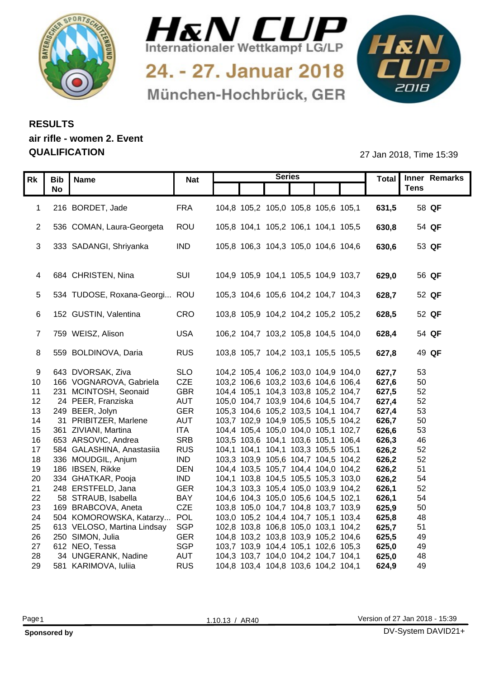



24. - 27. Januar 2018 München-Hochbrück, GER



## **RESULTS air rifle - women 2. Event QUALIFICATION** 27 Jan 2018, Time 15:39

|          | Rk   Bib   Name                                  | <b>Nat</b>               |                                                                            | <b>Series</b> |                | Total Inner Remarks |
|----------|--------------------------------------------------|--------------------------|----------------------------------------------------------------------------|---------------|----------------|---------------------|
|          | <b>No</b>                                        |                          |                                                                            |               |                | <b>Tens</b>         |
|          | 1 216 BORDET, Jade                               | <b>FRA</b>               | 104,8 105,2 105,0 105,8 105,6 105,1                                        |               | 631,5          | 58 QF               |
|          |                                                  |                          |                                                                            |               |                |                     |
|          | 2 536 COMAN, Laura-Georgeta                      | ROU                      | 105,8 104,1 105,2 106,1 104,1 105,5                                        |               | 630,8          | 54 QF               |
|          | 3 333 SADANGI, Shriyanka                         | <b>IND</b>               | 105,8 106,3 104,3 105,0 104,6 104,6                                        |               | 630,6          | 53 QF               |
|          |                                                  |                          |                                                                            |               |                |                     |
|          |                                                  |                          |                                                                            |               |                |                     |
|          | 4 684 CHRISTEN, Nina                             | SUI                      | 104,9 105,9 104,1 105,5 104,9 103,7                                        |               | 629,0          | 56 QF               |
|          |                                                  |                          |                                                                            |               |                |                     |
|          | 5 534 TUDOSE, Roxana-Georgi ROU                  |                          | 105,3 104,6 105,6 104,2 104,7 104,3                                        |               | 628,7          | 52 QF               |
|          | 6 152 GUSTIN, Valentina                          | CRO                      | 103,8 105,9 104,2 104,2 105,2 105,2                                        |               | 628,5          | 52 QF               |
|          |                                                  |                          |                                                                            |               |                |                     |
|          | 7 759 WEISZ, Alison                              | <b>USA</b>               | 106,2 104,7 103,2 105,8 104,5 104,0                                        |               | 628,4          | 54 QF               |
|          |                                                  |                          |                                                                            |               |                |                     |
|          | 8 559 BOLDINOVA, Daria                           | <b>RUS</b>               | 103,8 105,7 104,2 103,1 105,5 105,5                                        |               | 627,8          | 49 QF               |
|          | 9 643 DVORSAK, Ziva                              | <b>SLO</b>               | 104,2 105,4 106,2 103,0 104,9 104,0                                        |               | 627,7          | 53                  |
|          | 10 166 VOGNAROVA, Gabriela                       | CZE                      | 103,2 106,6 103,2 103,6 104,6 106,4                                        |               | 627,6          | 50                  |
| 11       | 231 MCINTOSH, Seonaid                            | <b>GBR</b>               | 104,4 105,1 104,3 103,8 105,2 104,7                                        |               | 627,5          | 52                  |
|          | 12 24 PEER, Franziska                            | <b>AUT</b>               | 105,0 104,7 103,9 104,6 104,5 104,7                                        |               | 627,4          | 52                  |
|          | 13 249 BEER, Jolyn                               | <b>GER</b>               | 105,3 104,6 105,2 103,5 104,1 104,7                                        |               | 627,4          | 53                  |
| 14       | 31 PRIBITZER, Marlene<br>15 361 ZIVIANI, Martina | <b>AUT</b><br><b>ITA</b> | 103,7 102,9 104,9 105,5 105,5 104,2<br>104,4 105,4 105,0 104,0 105,1 102,7 |               | 626,7<br>626,6 | 50                  |
| 16       | 653 ARSOVIC, Andrea                              | <b>SRB</b>               | 103,5 103,6 104,1 103,6 105,1 106,4                                        |               | 626,3          | 53<br>46            |
| 17       | 584 GALASHINA, Anastasiia                        | <b>RUS</b>               | 104,1 104,1 104,1 103,3 105,5 105,1                                        |               | 626,2          | 52                  |
| 18       | 336 MOUDGIL, Anjum                               | <b>IND</b>               | 103,3 103,9 105,6 104,7 104,5 104,2                                        |               | 626,2          | 52                  |
|          | 19 186 IBSEN, Rikke                              | <b>DEN</b>               | 104,4 103,5 105,7 104,4 104,0 104,2                                        |               | 626,2          | 51                  |
| 20       | 334 GHATKAR, Pooja                               | <b>IND</b>               | 104,1 103,8 104,5 105,5 105,3 103,0                                        |               | 626,2          | 54                  |
|          | 21 248 ERSTFELD, Jana                            | <b>GER</b>               | 104,3 103,3 105,4 105,0 103,9 104,2                                        |               | 626,1          | 52                  |
| 22<br>23 | 58 STRAUB, Isabella<br>169 BRABCOVA, Aneta       | <b>BAY</b><br><b>CZE</b> | 104,6 104,3 105,0 105,6 104,5 102,1<br>103,8 105,0 104,7 104,8 103,7 103,9 |               | 626,1<br>625,9 | 54<br>50            |
| 24       | 504 KOMOROWSKA, Katarzy                          | . POL                    | 103,0 105,2 104,4 104,7 105,1 103,4                                        |               | 625,8          | 48                  |
|          | 25 613 VELOSO, Martina Lindsay                   | SGP                      | 102,8 103,8 106,8 105,0 103,1 104,2                                        |               | 625,7          | 51                  |
|          | 26 250 SIMON, Julia                              | <b>GER</b>               | 104,8 103,2 103,8 103,9 105,2 104,6                                        |               | 625,5          | 49                  |
| 27       | 612 NEO, Tessa                                   | <b>SGP</b>               | 103,7 103,9 104,4 105,1 102,6 105,3                                        |               | 625,0          | 49                  |
| 28       | 34 UNGERANK, Nadine                              | <b>AUT</b>               | 104,3 103,7 104,0 104,2 104,7 104,1                                        |               | 625,0          | 48                  |
|          | 29 581 KARIMOVA, Iuliia                          | <b>RUS</b>               | 104,8 103,4 104,8 103,6 104,2 104,1                                        |               | 624,9          | 49                  |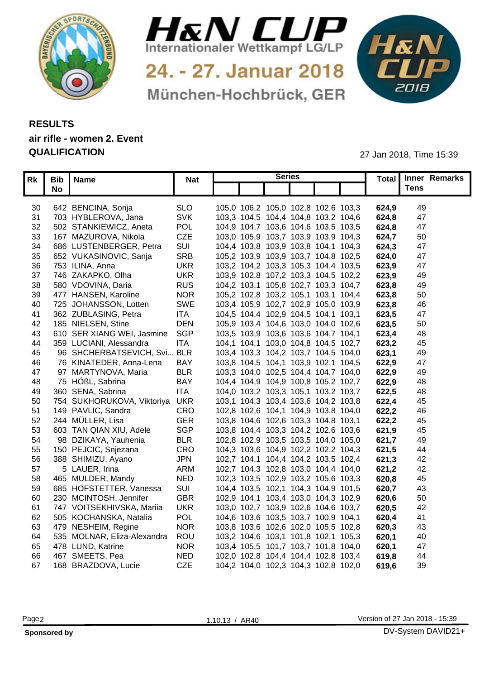



24. - 27. Januar 2018 München-Hochbrück, GER



## **RESULTS air rifle - women 2. Event QUALIFICATION** 27 Jan 2018, Time 15:39

|     | Rk   Bib   Name |                                   | <b>Nat</b> |                                     | <b>Series</b> |       | Total   Inner Remarks |
|-----|-----------------|-----------------------------------|------------|-------------------------------------|---------------|-------|-----------------------|
|     | <b>No</b>       |                                   |            |                                     |               |       | <b>Tens</b>           |
|     |                 |                                   |            |                                     |               |       |                       |
| 30  |                 | 642 BENCINA, Sonja                | <b>SLO</b> | 105,0 106,2 105,0 102,8 102,6 103,3 |               | 624,9 | 49                    |
|     |                 | 31 703 HYBLEROVA, Jana            | <b>SVK</b> | 103,3 104,5 104,4 104,8 103,2 104,6 |               | 624,8 | 47                    |
| 32  |                 | 502 STANKIEWICZ, Aneta            | <b>POL</b> | 104,9 104,7 103,6 104,6 103,5 103,5 |               | 624,8 | 47                    |
| 33  |                 | 167 MAZUROVA, Nikola              | <b>CZE</b> | 103,0 105,9 103,7 103,9 103,9 104,3 |               | 624,7 | 50                    |
| 34  |                 | 686 LUSTENBERGER, Petra           | SUI        | 104,4 103,8 103,9 103,8 104,1 104,3 |               | 624.3 | 47                    |
| 35  |                 | 652 VUKASINOVIC, Sanja            | <b>SRE</b> | 105,2 103,9 103,9 103,7 104,8 102,5 |               | 624.0 | 47                    |
|     |                 | 36 753 ILINA, Anna                | <b>UKR</b> | 103,2 104,2 103,3 105,3 104,4 103,5 |               | 623,9 | 47                    |
|     |                 | 37 746 ZAKAPKO, Olha              | <b>UKR</b> | 103,9 102,8 107,2 103,3 104,5 102,2 |               | 623,9 | 49                    |
| 38  |                 | 580 VDOVINA, Daria                | <b>RUS</b> | 104,2 103,1 105,8 102,7 103,3 104,7 |               | 623,8 | 49                    |
|     |                 | 39 477 HANSEN, Karoline           | <b>NOR</b> | 105,2 102,8 103,2 105,1 103,1 104,4 |               | 623,8 | 50                    |
|     |                 | 40 725 JOHANSSON, Lotten          | <b>SWE</b> | 103,4 105,9 102,7 102,9 105,0 103,9 |               | 623,8 | 46                    |
| -41 |                 | 362 ZUBLASING, Petra              | <b>ITA</b> | 104,5 104,4 102,9 104,5 104,1 103,1 |               | 623,5 | 47                    |
| 42  |                 | 185 NIELSEN, Stine                | <b>DEN</b> | 105,9 103,4 104,6 103,0 104,0 102,6 |               | 623,5 | 50                    |
|     |                 | 43 610 SER XIANG WEI, Jasmine     | SGP        | 103,5 103,9 103,6 103,6 104,7 104,1 |               | 623,4 | 48                    |
|     |                 | 44 359 LUCIANI, Alessandra        | <b>ITA</b> | 104,1 104,1 103,0 104,8 104,5 102,7 |               | 623,2 | 45                    |
| 45  |                 | 96 SHCHERBATSEVICH, Svi BLR       |            | 103,4 103,3 104,2 103,7 104,5 104,0 |               | 623,1 | 49                    |
| 46  |                 | 76 KINATEDER, Anna-Lena           | BA ነ       | 103,8 104,5 104,1 103,9 102,1 104,5 |               | 622,9 | 47                    |
| 47  |                 | 97 MARTYNOVA, Maria               | <b>BLR</b> | 103,3 104,0 102,5 104,4 104,7 104,0 |               | 622,9 | 49                    |
| 48  |                 | 75 HÖßL, Sabrina                  | <b>BAY</b> | 104,4 104,9 104,9 100,8 105,2 102,7 |               | 622,9 | 48                    |
|     |                 | 49 360 SENA, Sabrina              | <b>ITA</b> | 104,0 103,2 103,3 105,1 103,2 103,7 |               | 622,5 | 48                    |
|     |                 | 50 754 SUKHORUKOVA, Viktoriya UKR |            | 103,1 104,3 103,4 103,6 104,2 103,8 |               | 622,4 | 45                    |
| 51  |                 | 149 PAVLIC, Sandra                | CRC        | 102,8 102,6 104,1 104,9 103,8 104,0 |               | 622,2 | 46                    |
| 52  |                 | 244  MÜLLER, Lisa                 | <b>GER</b> | 103,8 104,6 102,6 103,3 104,8 103,1 |               | 622,2 | 45                    |
| 53  |                 | 603 TAN QIAN XIU, Adele           | <b>SGP</b> | 103,8 104,4 103,3 104,2 102,6 103,6 |               | 621,9 | 45                    |
| 54  |                 | 98 DZIKAYA, Yauhenia              | <b>BLR</b> | 102,8 102,9 103,5 103,5 104,0 105,0 |               | 621,7 | 49                    |
|     |                 | 55 150 PEJCIC, Snjezana           | CRO        | 104,3 103,6 104,9 102,2 102,2 104,3 |               | 621,5 | 44                    |
|     |                 | 56 388 SHIMIZU, Ayano             | <b>JPN</b> | 102,7 104,1 104,4 104,2 103,5 102,4 |               | 621,3 | 42                    |
| 57  |                 | 5 LAUER, Irina                    | <b>ARM</b> | 102,7 104,3 102,8 103,0 104,4 104,0 |               | 621.2 | 42                    |
| 58  |                 | 465 MULDER, Mandy                 | <b>NED</b> | 102,3 103,5 102,9 103,2 105,6 103,3 |               | 620,8 | 45                    |
| 59  |                 | 685 HOFSTETTER, Vanessa           | SUI        | 104,4 103,5 102,1 104,3 104,9 101,5 |               | 620,7 | 43                    |
| 60  |                 | 230 MCINTOSH, Jennifer            | <b>GBR</b> | 102,9 104,1 103,4 103,0 104,3 102,9 |               | 620,6 | 50                    |
|     |                 | 61 747 VOITSEKHIVSKA, Mariia      | <b>UKR</b> | 103,0 102,7 103,9 102,6 104,6 103,7 |               | 620.5 | 42                    |
| 62  |                 | 505 KOCHANSKA, Natalia            | <b>POL</b> | 104,6 103,6 103,5 103,7 100,9 104,1 |               | 620,4 | 41                    |
|     |                 | 63 479 NESHEIM, Regine            | <b>NOR</b> | 103,8 103,6 102,6 102,0 105,5 102,8 |               | 620,3 | 43                    |
| 64  |                 | 535 MOLNAR, Eliza-Alexandra ROU   |            | 103,2 104,6 103,1 101,8 102,1 105,3 |               | 620,1 | 40                    |
|     |                 | 65 478 LUND, Katrine              | <b>NOR</b> | 103,4 105,5 101,7 103,7 101,8 104,0 |               | 620,1 | 47                    |
| 66  |                 | 467 SMEETS, Pea                   | <b>NED</b> | 102,0 102,8 104,4 104,4 102,8 103,4 |               | 619.8 | 44                    |
| 67  |                 | 168 BRAZDOVA, Lucie               | <b>CZE</b> | 104,2 104,0 102,3 104,3 102,8 102,0 |               | 619,6 | 39                    |